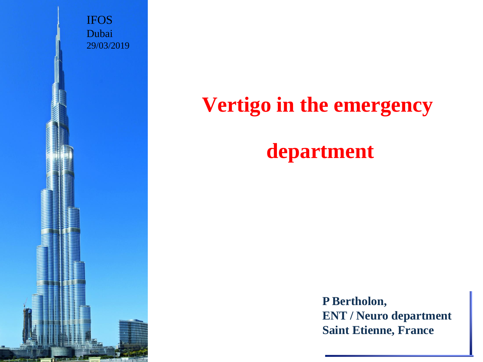IFOS Dubai 29/03/2019

# **Vertigo in the emergency**

# **department**

**P Bertholon, ENT / Neuro department Saint Etienne, France**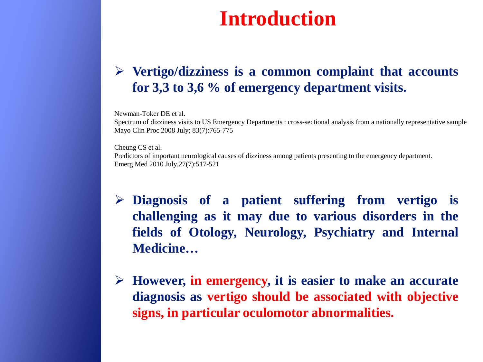# **Introduction**

### **Vertigo/dizziness is a common complaint that accounts for 3,3 to 3,6 % of emergency department visits.**

Newman-Toker DE et al.

Spectrum of dizziness visits to US Emergency Departments : cross-sectional analysis from a nationally representative sample Mayo Clin Proc 2008 July; 83(7):765-775

Cheung CS et al.

Predictors of important neurological causes of dizziness among patients presenting to the emergency department. Emerg Med 2010 July,27(7):517-521

- **Diagnosis of a patient suffering from vertigo is challenging as it may due to various disorders in the fields of Otology, Neurology, Psychiatry and Internal Medicine…**
- **However, in emergency, it is easier to make an accurate diagnosis as vertigo should be associated with objective signs, in particular oculomotor abnormalities.**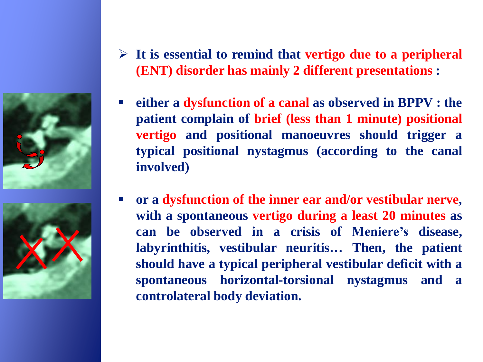



- **It is essential to remind that vertigo due to a peripheral (ENT) disorder has mainly 2 different presentations :**
- **either a dysfunction of a canal as observed in BPPV : the patient complain of brief (less than 1 minute) positional vertigo and positional manoeuvres should trigger a typical positional nystagmus (according to the canal involved)**
- **or a dysfunction of the inner ear and/or vestibular nerve, with a spontaneous vertigo during a least 20 minutes as can be observed in a crisis of Meniere's disease, labyrinthitis, vestibular neuritis… Then, the patient should have a typical peripheral vestibular deficit with a spontaneous horizontal-torsional nystagmus and a controlateral body deviation.**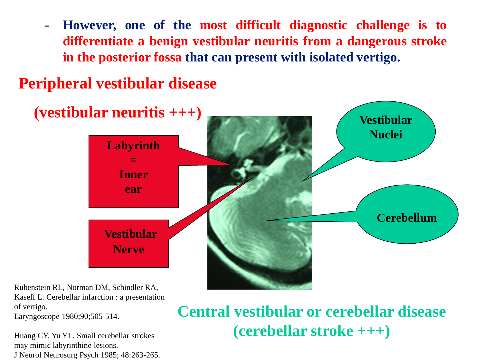- **However, one of the most difficult diagnostic challenge is to differentiate a benign vestibular neuritis from a dangerous stroke in the posterior fossa that can present with isolated vertigo.**

## **Peripheral vestibular disease**



Rubenstein RL, Norman DM, Schindler RA, Kaseff L. Cerebellar infarction : a presentation of vertigo.

Laryngoscope 1980;90;505-514.

Huang CY, Yu YL. Small cerebellar strokes may mimic labyrinthine lesions. J Neurol Neurosurg Psych 1985; 48:263-265.

## **Central vestibular or cerebellar disease (cerebellar stroke +++)**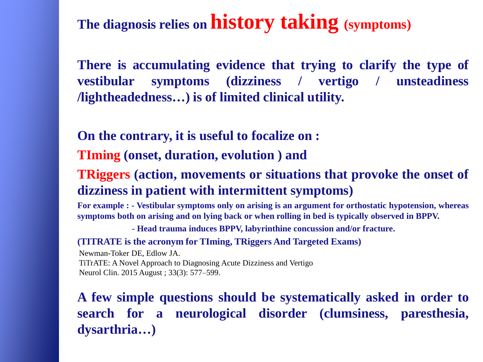## **The diagnosis relies on history taking (symptoms)**

**There is accumulating evidence that trying to clarify the type of vestibular symptoms (dizziness / vertigo / unsteadiness /lightheadedness…) is of limited clinical utility.**

**On the contrary, it is useful to focalize on :**

**TIming (onset, duration, evolution ) and**

#### **TRiggers (action, movements or situations that provoke the onset of dizziness in patient with intermittent symptoms)**

**For example : - Vestibular symptoms only on arising is an argument for orthostatic hypotension, whereas symptoms both on arising and on lying back or when rolling in bed is typically observed in BPPV.** 

 **- Head trauma induces BPPV, labyrinthine concussion and/or fracture.**

**(TITRATE is the acronym for TIming, TRiggers And Targeted Exams)**

Newman-Toker DE, Edlow JA. TiTrATE: A Novel Approach to Diagnosing Acute Dizziness and Vertigo Neurol Clin. 2015 August ; 33(3): 577–599.

**A few simple questions should be systematically asked in order to search for a neurological disorder (clumsiness, paresthesia, dysarthria…)**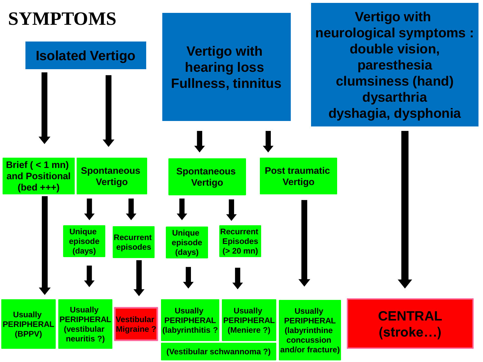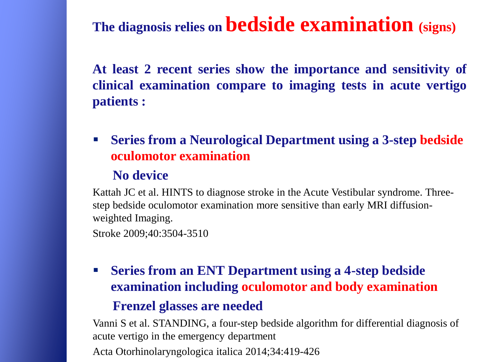## **The diagnosis relies on bedside examination (signs)**

**At least 2 recent series show the importance and sensitivity of clinical examination compare to imaging tests in acute vertigo patients :**

 **Series from a Neurological Department using a 3-step bedside oculomotor examination**

#### **No device**

Kattah JC et al. HINTS to diagnose stroke in the Acute Vestibular syndrome. Threestep bedside oculomotor examination more sensitive than early MRI diffusionweighted Imaging.

```
Stroke 2009;40:3504-3510
```
 **Series from an ENT Department using a 4-step bedside examination including oculomotor and body examination**

#### **Frenzel glasses are needed**

Vanni S et al. STANDING, a four-step bedside algorithm for differential diagnosis of acute vertigo in the emergency department Acta Otorhinolaryngologica italica 2014;34:419-426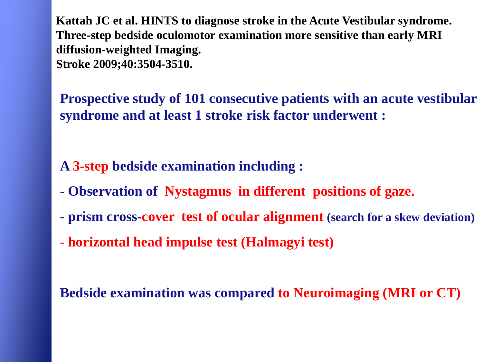**Kattah JC et al. HINTS to diagnose stroke in the Acute Vestibular syndrome. Three-step bedside oculomotor examination more sensitive than early MRI diffusion-weighted Imaging. Stroke 2009;40:3504-3510.**

**Prospective study of 101 consecutive patients with an acute vestibular syndrome and at least 1 stroke risk factor underwent :**

**A 3-step bedside examination including :**

- **Observation of Nystagmus in different positions of gaze.**
- **prism cross-cover test of ocular alignment (search for a skew deviation)**
- **horizontal head impulse test (Halmagyi test)**

**Bedside examination was compared to Neuroimaging (MRI or CT)**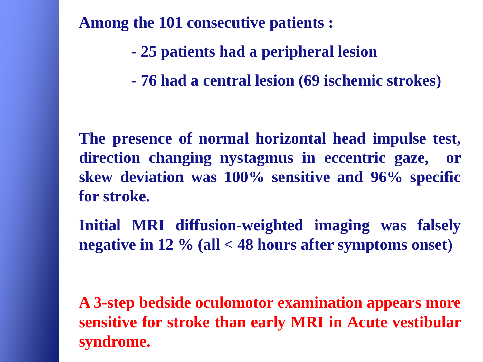**Among the 101 consecutive patients :**

- **- 25 patients had a peripheral lesion**
- **- 76 had a central lesion (69 ischemic strokes)**

**The presence of normal horizontal head impulse test, direction changing nystagmus in eccentric gaze, or skew deviation was 100% sensitive and 96% specific for stroke.**

**Initial MRI diffusion-weighted imaging was falsely negative in 12 % (all < 48 hours after symptoms onset)**

**A 3-step bedside oculomotor examination appears more sensitive for stroke than early MRI in Acute vestibular syndrome.**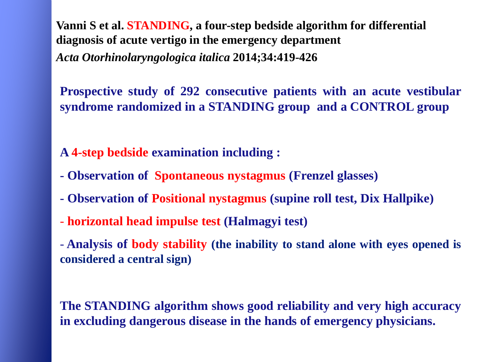**Vanni S et al. STANDING, a four-step bedside algorithm for differential diagnosis of acute vertigo in the emergency department** *Acta Otorhinolaryngologica italica* **2014;34:419-426**

**Prospective study of 292 consecutive patients with an acute vestibular syndrome randomized in a STANDING group and a CONTROL group**

**A 4-step bedside examination including :**

- **- Observation of Spontaneous nystagmus (Frenzel glasses)**
- **- Observation of Positional nystagmus (supine roll test, Dix Hallpike)**
- **horizontal head impulse test (Halmagyi test)**

- **Analysis of body stability (the inability to stand alone with eyes opened is considered a central sign)**

**The STANDING algorithm shows good reliability and very high accuracy in excluding dangerous disease in the hands of emergency physicians.**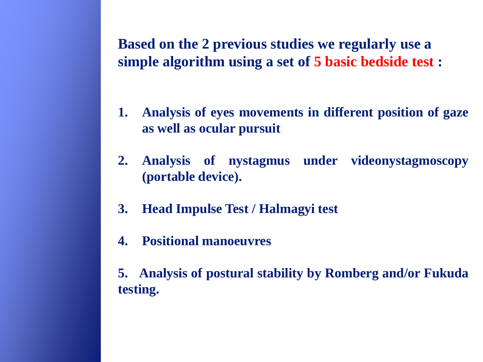**Based on the 2 previous studies we regularly use a simple algorithm using a set of 5 basic bedside test :**

- **1. Analysis of eyes movements in different position of gaze as well as ocular pursuit**
- **2. Analysis of nystagmus under videonystagmoscopy (portable device).**
- **3. Head Impulse Test / Halmagyi test**
- **4. Positional manoeuvres**

**5. Analysis of postural stability by Romberg and/or Fukuda testing.**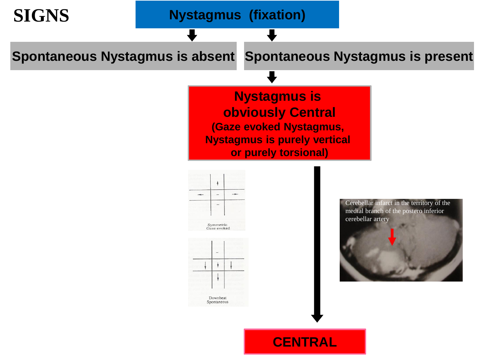

#### **CENTRAL**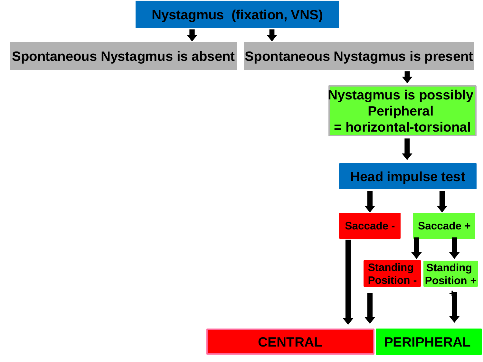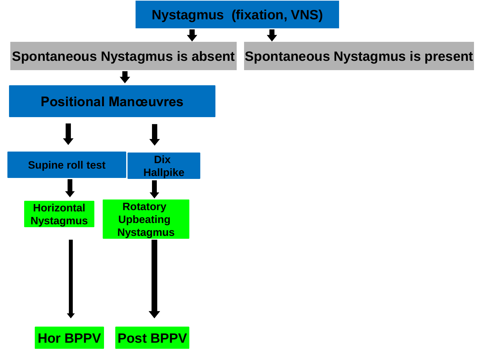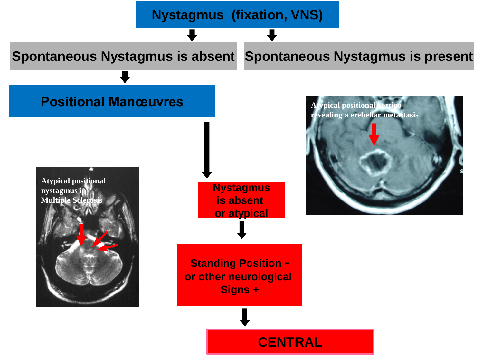#### **Nystagmus (fixation, VNS)**

#### Spontaneous Nystagmus is absent Spontaneous Nystagmus is present

#### **Positional Manœuvres**





**CENTRAL**

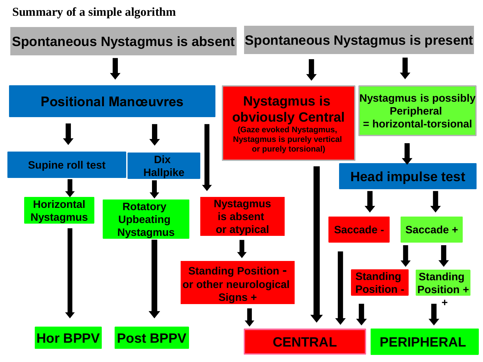#### **Summary of a simple algorithm**

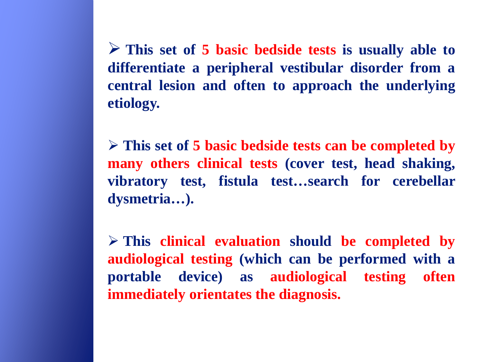**This set of 5 basic bedside tests is usually able to differentiate a peripheral vestibular disorder from a central lesion and often to approach the underlying etiology.**

 **This set of 5 basic bedside tests can be completed by many others clinical tests (cover test, head shaking, vibratory test, fistula test…search for cerebellar dysmetria…).**

 **This clinical evaluation should be completed by audiological testing (which can be performed with a portable device) as audiological testing often immediately orientates the diagnosis.**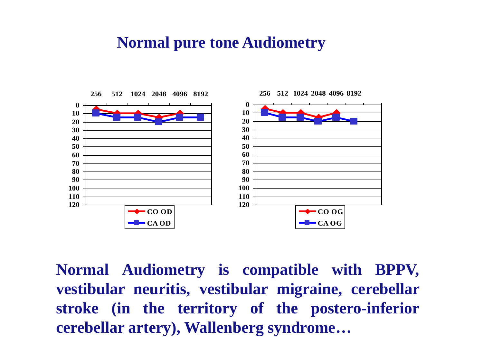### **Normal pure tone Audiometry**



**Normal Audiometry is compatible with BPPV, vestibular neuritis, vestibular migraine, cerebellar stroke (in the territory of the postero-inferior cerebellar artery), Wallenberg syndrome…**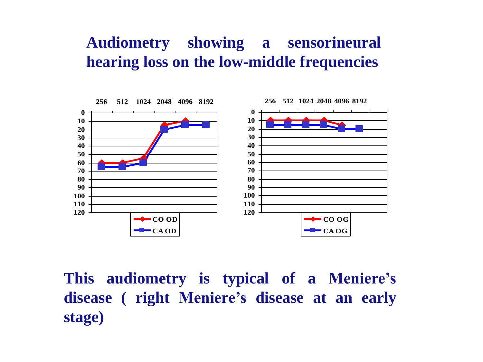## **Audiometry showing a sensorineural hearing loss on the low-middle frequencies**



**This audiometry is typical of a Meniere's disease ( right Meniere's disease at an early stage)**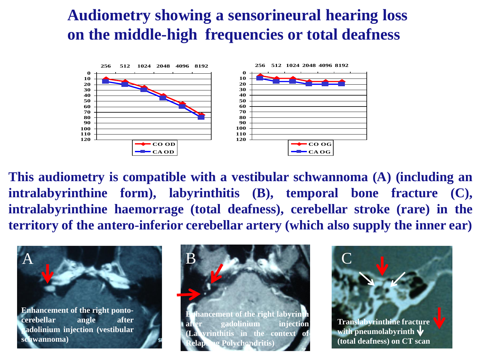## **Audiometry showing a sensorineural hearing loss on the middle-high frequencies or total deafness**



**This audiometry is compatible with a vestibular schwannoma (A) (including an intralabyrinthine form), labyrinthitis (B), temporal bone fracture (C), intralabyrinthine haemorrage (total deafness), cerebellar stroke (rare) in the territory of the antero-inferior cerebellar artery (which also supply the inner ear)**

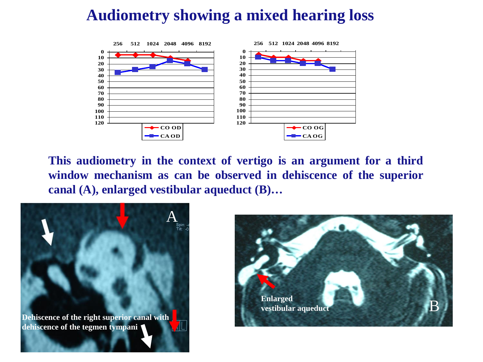## **Audiometry showing a mixed hearing loss**



**This audiometry in the context of vertigo is an argument for a third window mechanism as can be observed in dehiscence of the superior canal (A), enlarged vestibular aqueduct (B)…**